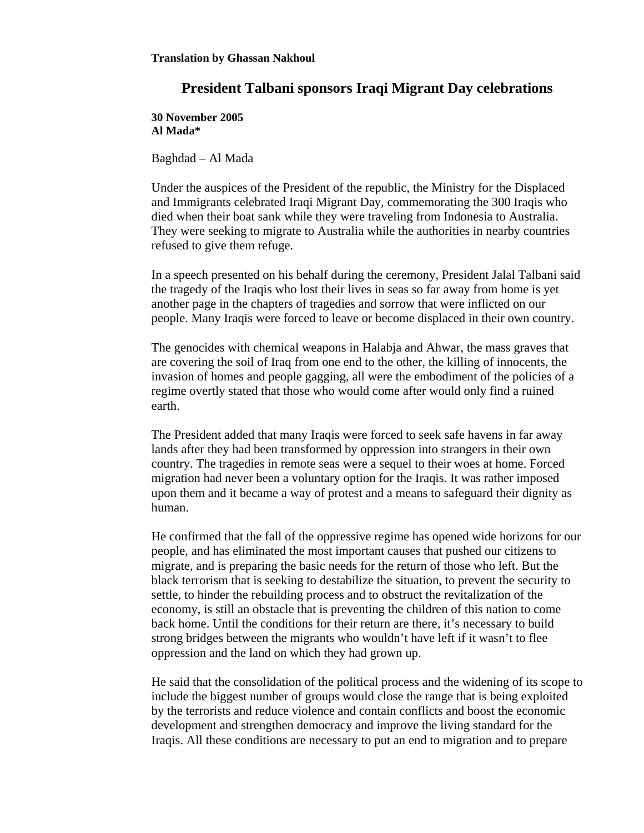## **President Talbani sponsors Iraqi Migrant Day celebrations**

**30 November 2005 Al Mada\*** 

Baghdad – Al Mada

Under the auspices of the President of the republic, the Ministry for the Displaced and Immigrants celebrated Iraqi Migrant Day, commemorating the 300 Iraqis who died when their boat sank while they were traveling from Indonesia to Australia. They were seeking to migrate to Australia while the authorities in nearby countries refused to give them refuge.

In a speech presented on his behalf during the ceremony, President Jalal Talbani said the tragedy of the Iraqis who lost their lives in seas so far away from home is yet another page in the chapters of tragedies and sorrow that were inflicted on our people. Many Iraqis were forced to leave or become displaced in their own country.

The genocides with chemical weapons in Halabja and Ahwar, the mass graves that are covering the soil of Iraq from one end to the other, the killing of innocents, the invasion of homes and people gagging, all were the embodiment of the policies of a regime overtly stated that those who would come after would only find a ruined earth.

The President added that many Iraqis were forced to seek safe havens in far away lands after they had been transformed by oppression into strangers in their own country. The tragedies in remote seas were a sequel to their woes at home. Forced migration had never been a voluntary option for the Iraqis. It was rather imposed upon them and it became a way of protest and a means to safeguard their dignity as human.

He confirmed that the fall of the oppressive regime has opened wide horizons for our people, and has eliminated the most important causes that pushed our citizens to migrate, and is preparing the basic needs for the return of those who left. But the black terrorism that is seeking to destabilize the situation, to prevent the security to settle, to hinder the rebuilding process and to obstruct the revitalization of the economy, is still an obstacle that is preventing the children of this nation to come back home. Until the conditions for their return are there, it's necessary to build strong bridges between the migrants who wouldn't have left if it wasn't to flee oppression and the land on which they had grown up.

He said that the consolidation of the political process and the widening of its scope to include the biggest number of groups would close the range that is being exploited by the terrorists and reduce violence and contain conflicts and boost the economic development and strengthen democracy and improve the living standard for the Iraqis. All these conditions are necessary to put an end to migration and to prepare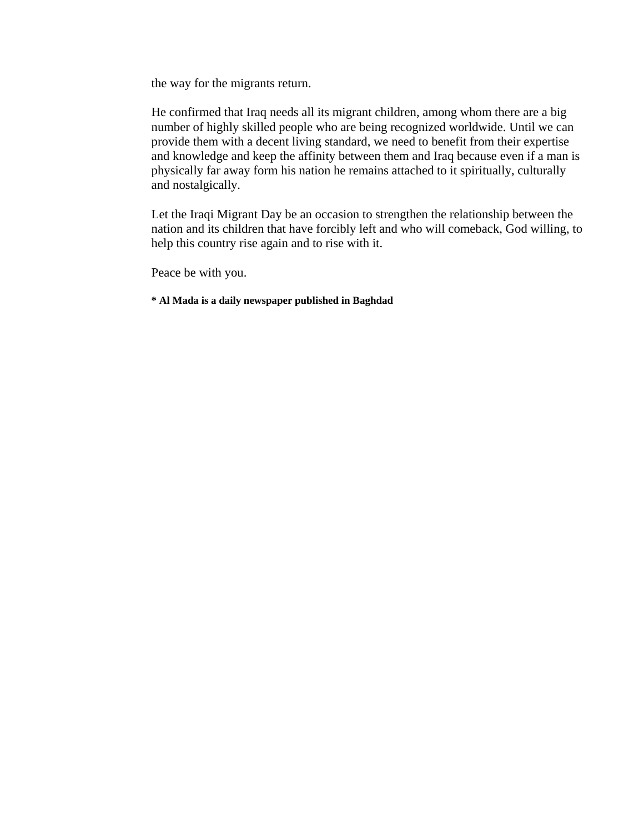the way for the migrants return.

He confirmed that Iraq needs all its migrant children, among whom there are a big number of highly skilled people who are being recognized worldwide. Until we can provide them with a decent living standard, we need to benefit from their expertise and knowledge and keep the affinity between them and Iraq because even if a man is physically far away form his nation he remains attached to it spiritually, culturally and nostalgically.

Let the Iraqi Migrant Day be an occasion to strengthen the relationship between the nation and its children that have forcibly left and who will comeback, God willing, to help this country rise again and to rise with it.

Peace be with you.

**\* Al Mada is a daily newspaper published in Baghdad**